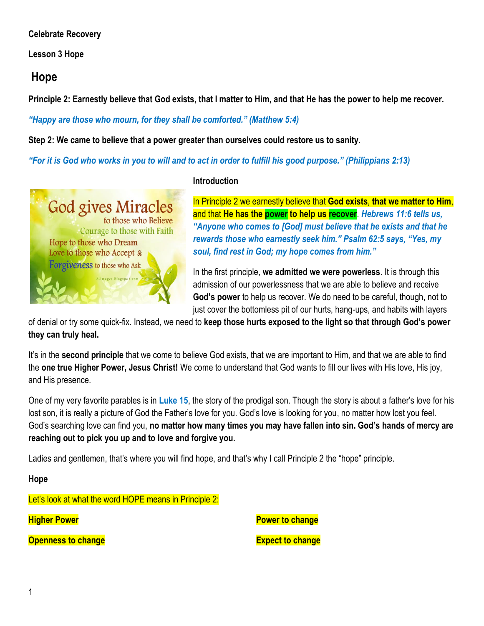# **Celebrate Recovery**

**Lesson 3 Hope**

# **Hope**

**Principle 2: Earnestly believe that God exists, that I matter to Him, and that He has the power to help me recover.** 

*"Happy are those who mourn, for they shall be comforted." (Matthew 5:4)* 

**Step 2: We came to believe that a power greater than ourselves could restore us to sanity.** 

*"For it is God who works in you to will and to act in order to fulfill his good purpose." (Philippians 2:13)* 



## **Introduction**

In Principle 2 we earnestly believe that **God exists**, **that we matter to Him**, and that **He has the power to help us recover**. *Hebrews 11:6 tells us, "Anyone who comes to [God] must believe that he exists and that he rewards those who earnestly seek him." Psalm 62:5 says, "Yes, my soul, find rest in God; my hope comes from him."* 

In the first principle, **we admitted we were powerless**. It is through this admission of our powerlessness that we are able to believe and receive **God's power** to help us recover. We do need to be careful, though, not to just cover the bottomless pit of our hurts, hang-ups, and habits with layers

of denial or try some quick-fix. Instead, we need to **keep those hurts exposed to the light so that through God's power they can truly heal.** 

It's in the **second principle** that we come to believe God exists, that we are important to Him, and that we are able to find the **one true Higher Power, Jesus Christ!** We come to understand that God wants to fill our lives with His love, His joy, and His presence.

One of my very favorite parables is in **Luke 15**, the story of the prodigal son. Though the story is about a father's love for his lost son, it is really a picture of God the Father's love for you. God's love is looking for you, no matter how lost you feel. God's searching love can find you, **no matter how many times you may have fallen into sin. God's hands of mercy are reaching out to pick you up and to love and forgive you.**

Ladies and gentlemen, that's where you will find hope, and that's why I call Principle 2 the "hope" principle.

**Hope** 

Let's look at what the word HOPE means in Principle 2:

**Higher Power** 

**Openness to change** 

**Power to change** 

**Expect to change**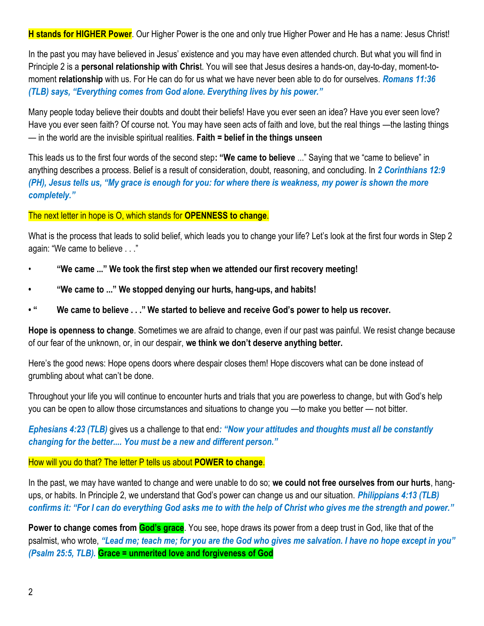**H stands for HIGHER Power**. Our Higher Power is the one and only true Higher Power and He has a name: Jesus Christ!

In the past you may have believed in Jesus' existence and you may have even attended church. But what you will find in Principle 2 is a **personal relationship with Chris**t. You will see that Jesus desires a hands-on, day-to-day, moment-tomoment **relationship** with us. For He can do for us what we have never been able to do for ourselves. *Romans 11:36 (TLB) says, "Everything comes from God alone. Everything lives by his power."* 

Many people today believe their doubts and doubt their beliefs! Have you ever seen an idea? Have you ever seen love? Have you ever seen faith? Of course not. You may have seen acts of faith and love, but the real things —the lasting things — in the world are the invisible spiritual realities. **Faith = belief in the things unseen**

This leads us to the first four words of the second step**: "We came to believe** ..." Saying that we "came to believe" in anything describes a process. Belief is a result of consideration, doubt, reasoning, and concluding. In *2 Corinthians 12:9 (PH), Jesus tells us, "My grace is enough for you: for where there is weakness, my power is shown the more completely."*

#### The next letter in hope is O, which stands for **OPENNESS to change**.

What is the process that leads to solid belief, which leads you to change your life? Let's look at the first four words in Step 2 again: "We came to believe . . ."

- **"We came ..." We took the first step when we attended our first recovery meeting!**
- **• "We came to ..." We stopped denying our hurts, hang-ups, and habits!**
- **" We came to believe . . ." We started to believe and receive God's power to help us recover.**

**Hope is openness to change**. Sometimes we are afraid to change, even if our past was painful. We resist change because of our fear of the unknown, or, in our despair, **we think we don't deserve anything better.**

Here's the good news: Hope opens doors where despair closes them! Hope discovers what can be done instead of grumbling about what can't be done.

Throughout your life you will continue to encounter hurts and trials that you are powerless to change, but with God's help you can be open to allow those circumstances and situations to change you —to make you better — not bitter.

*Ephesians 4:23 (TLB)* gives us a challenge to that end*: "Now your attitudes and thoughts must all be constantly changing for the better.... You must be a new and different person."* 

## How will you do that? The letter P tells us about **POWER to change**.

In the past, we may have wanted to change and were unable to do so; **we could not free ourselves from our hurts**, hangups, or habits. In Principle 2, we understand that God's power can change us and our situation. *Philippians 4:13 (TLB) confirms it: "For I can do everything God asks me to with the help of Christ who gives me the strength and power."*

**Power to change comes from God's grace**. You see, hope draws its power from a deep trust in God, like that of the psalmist, who wrote, *"Lead me; teach me; for you are the God who gives me salvation. I have no hope except in you" (Psalm 25:5, TLB).* **Grace = unmerited love and forgiveness of God**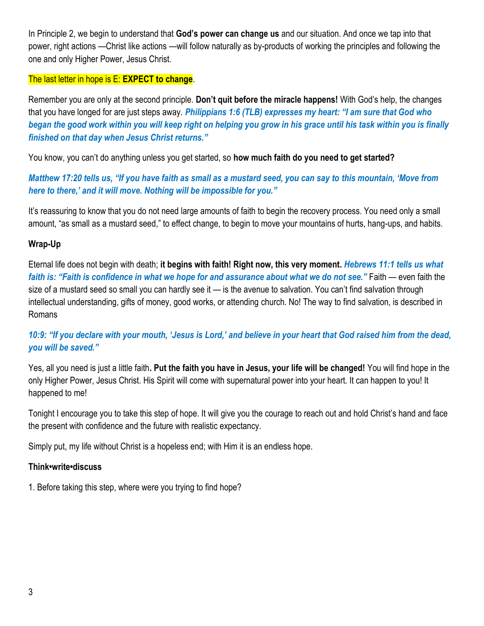In Principle 2, we begin to understand that **God's power can change us** and our situation. And once we tap into that power, right actions —Christ like actions —will follow naturally as by-products of working the principles and following the one and only Higher Power, Jesus Christ.

## The last letter in hope is E: **EXPECT to change**.

Remember you are only at the second principle. **Don't quit before the miracle happens!** With God's help, the changes that you have longed for are just steps away. *Philippians 1:6 (TLB) expresses my heart: "I am sure that God who began the good work within you will keep right on helping you grow in his grace until his task within you is finally finished on that day when Jesus Christ returns."* 

You know, you can't do anything unless you get started, so **how much faith do you need to get started?**

*Matthew 17:20 tells us, "If you have faith as small as a mustard seed, you can say to this mountain, 'Move from here to there,' and it will move. Nothing will be impossible for you."* 

It's reassuring to know that you do not need large amounts of faith to begin the recovery process. You need only a small amount, "as small as a mustard seed," to effect change, to begin to move your mountains of hurts, hang-ups, and habits.

#### **Wrap-Up**

Eternal life does not begin with death; **it begins with faith! Right now, this very moment.** *Hebrews 11:1 tells us what faith is: "Faith is confidence in what we hope for and assurance about what we do not see."* Faith — even faith the size of a mustard seed so small you can hardly see it — is the avenue to salvation. You can't find salvation through intellectual understanding, gifts of money, good works, or attending church. No! The way to find salvation, is described in Romans

*10:9: "If you declare with your mouth, 'Jesus is Lord,' and believe in your heart that God raised him from the dead, you will be saved."* 

Yes, all you need is just a little faith**. Put the faith you have in Jesus, your life will be changed!** You will find hope in the only Higher Power, Jesus Christ. His Spirit will come with supernatural power into your heart. It can happen to you! It happened to me!

Tonight I encourage you to take this step of hope. It will give you the courage to reach out and hold Christ's hand and face the present with confidence and the future with realistic expectancy.

Simply put, my life without Christ is a hopeless end; with Him it is an endless hope.

## **Think•write•discuss**

1. Before taking this step, where were you trying to find hope?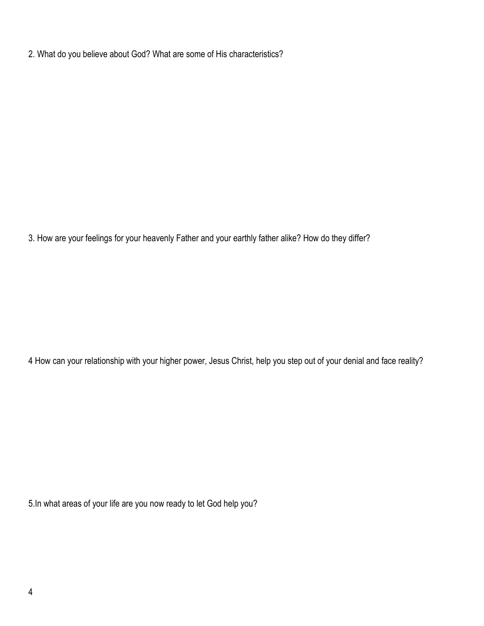2. What do you believe about God? What are some of His characteristics?

3. How are your feelings for your heavenly Father and your earthly father alike? How do they differ?

4 How can your relationship with your higher power, Jesus Christ, help you step out of your denial and face reality?

5.In what areas of your life are you now ready to let God help you?